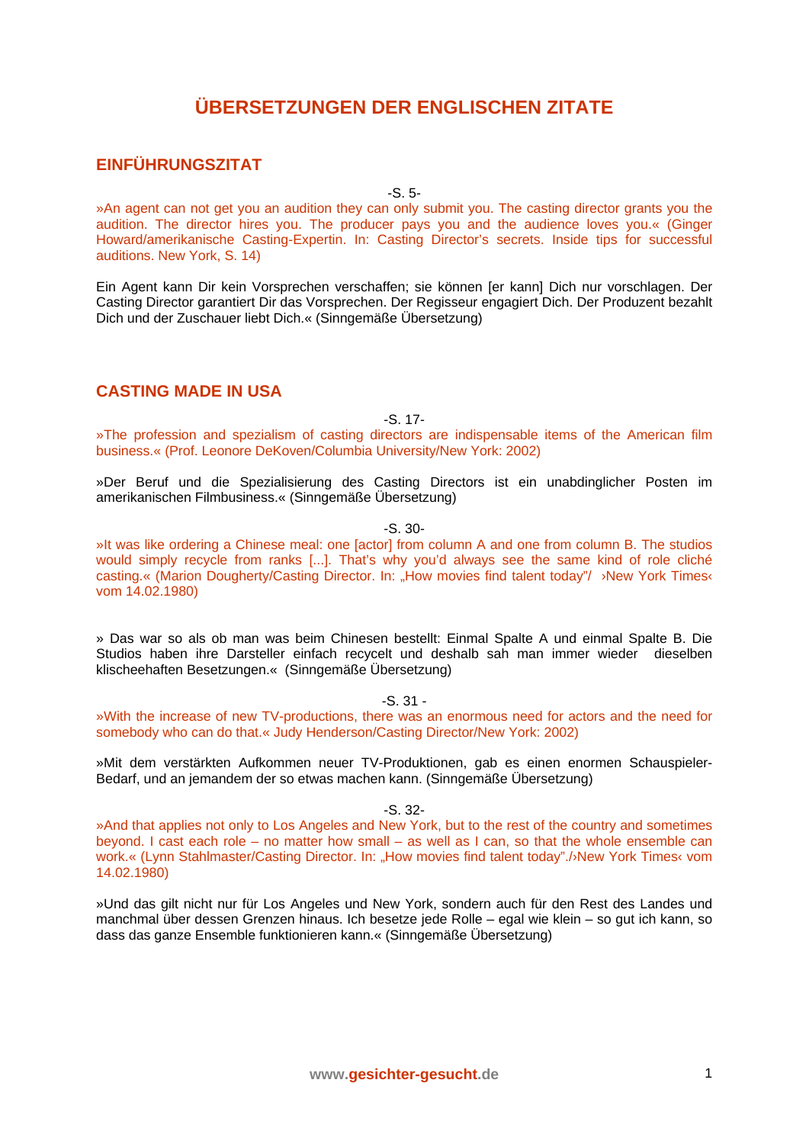# **ÜBERSETZUNGEN DER ENGLISCHEN ZITATE**

## **EINFÜHRUNGSZITAT**

-S. 5-

»An agent can not get you an audition they can only submit you. The casting director grants you the audition. The director hires you. The producer pays you and the audience loves you.« (Ginger Howard/amerikanische Casting-Expertin. In: Casting Director's secrets. Inside tips for successful auditions. New York, S. 14)

Ein Agent kann Dir kein Vorsprechen verschaffen; sie können [er kann] Dich nur vorschlagen. Der Casting Director garantiert Dir das Vorsprechen. Der Regisseur engagiert Dich. Der Produzent bezahlt Dich und der Zuschauer liebt Dich.« (Sinngemäße Übersetzung)

#### **CASTING MADE IN USA**

-S. 17-

»The profession and spezialism of casting directors are indispensable items of the American film business.« (Prof. Leonore DeKoven/Columbia University/New York: 2002)

»Der Beruf und die Spezialisierung des Casting Directors ist ein unabdinglicher Posten im amerikanischen Filmbusiness.« (Sinngemäße Übersetzung)

-S. 30-

»It was like ordering a Chinese meal: one [actor] from column A and one from column B. The studios would simply recycle from ranks [...]. That's why you'd always see the same kind of role cliché casting.« (Marion Dougherty/Casting Director. In: "How movies find talent today"/ ›New York Times‹ vom 14.02.1980)

» Das war so als ob man was beim Chinesen bestellt: Einmal Spalte A und einmal Spalte B. Die Studios haben ihre Darsteller einfach recycelt und deshalb sah man immer wieder dieselben klischeehaften Besetzungen.« (Sinngemäße Übersetzung)

-S. 31 -

»With the increase of new TV-productions, there was an enormous need for actors and the need for somebody who can do that.« Judy Henderson/Casting Director/New York: 2002)

»Mit dem verstärkten Aufkommen neuer TV-Produktionen, gab es einen enormen Schauspieler-Bedarf, und an jemandem der so etwas machen kann. (Sinngemäße Übersetzung)

-S. 32-

»And that applies not only to Los Angeles and New York, but to the rest of the country and sometimes beyond. I cast each role – no matter how small – as well as I can, so that the whole ensemble can work.« (Lynn Stahlmaster/Casting Director. In: "How movies find talent today"./›New York Times‹ vom 14.02.1980)

»Und das gilt nicht nur für Los Angeles und New York, sondern auch für den Rest des Landes und manchmal über dessen Grenzen hinaus. Ich besetze jede Rolle – egal wie klein – so gut ich kann, so dass das ganze Ensemble funktionieren kann.« (Sinngemäße Übersetzung)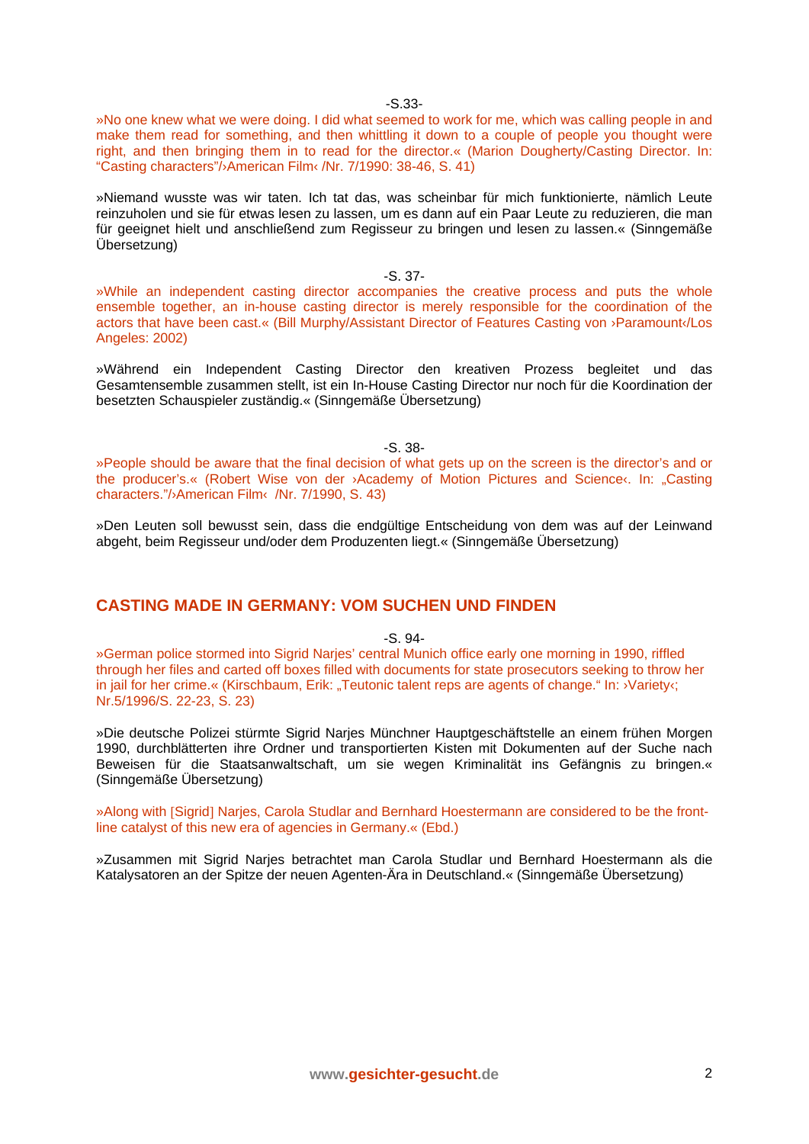-S.33-

»No one knew what we were doing. I did what seemed to work for me, which was calling people in and make them read for something, and then whittling it down to a couple of people you thought were right, and then bringing them in to read for the director.« (Marion Dougherty/Casting Director. In: "Casting characters"/›American Film‹ /Nr. 7/1990: 38-46, S. 41)

»Niemand wusste was wir taten. Ich tat das, was scheinbar für mich funktionierte, nämlich Leute reinzuholen und sie für etwas lesen zu lassen, um es dann auf ein Paar Leute zu reduzieren, die man für geeignet hielt und anschließend zum Regisseur zu bringen und lesen zu lassen.« (Sinngemäße Übersetzung)

-S. 37-

»While an independent casting director accompanies the creative process and puts the whole ensemble together, an in-house casting director is merely responsible for the coordination of the actors that have been cast.« (Bill Murphy/Assistant Director of Features Casting von ›Paramount‹/Los Angeles: 2002)

»Während ein Independent Casting Director den kreativen Prozess begleitet und das Gesamtensemble zusammen stellt, ist ein In-House Casting Director nur noch für die Koordination der besetzten Schauspieler zuständig.« (Sinngemäße Übersetzung)

-S. 38-

»People should be aware that the final decision of what gets up on the screen is the director's and or the producer's.« (Robert Wise von der >Academy of Motion Pictures and Science‹. In: "Casting characters."/›American Film‹ /Nr. 7/1990, S. 43)

»Den Leuten soll bewusst sein, dass die endgültige Entscheidung von dem was auf der Leinwand abgeht, beim Regisseur und/oder dem Produzenten liegt.« (Sinngemäße Übersetzung)

### **CASTING MADE IN GERMANY: VOM SUCHEN UND FINDEN**

-S. 94-

»German police stormed into Sigrid Narjes' central Munich office early one morning in 1990, riffled through her files and carted off boxes filled with documents for state prosecutors seeking to throw her in jail for her crime.« (Kirschbaum, Erik: "Teutonic talent reps are agents of change." In: <sup>y</sup>Variety<sub>'</sub>; Nr.5/1996/S. 22-23, S. 23)

»Die deutsche Polizei stürmte Sigrid Narjes Münchner Hauptgeschäftstelle an einem frühen Morgen 1990, durchblätterten ihre Ordner und transportierten Kisten mit Dokumenten auf der Suche nach Beweisen für die Staatsanwaltschaft, um sie wegen Kriminalität ins Gefängnis zu bringen.« (Sinngemäße Übersetzung)

»Along with [Sigrid] Narjes, Carola Studlar and Bernhard Hoestermann are considered to be the frontline catalyst of this new era of agencies in Germany.« (Ebd.)

»Zusammen mit Sigrid Narjes betrachtet man Carola Studlar und Bernhard Hoestermann als die Katalysatoren an der Spitze der neuen Agenten-Ära in Deutschland.« (Sinngemäße Übersetzung)